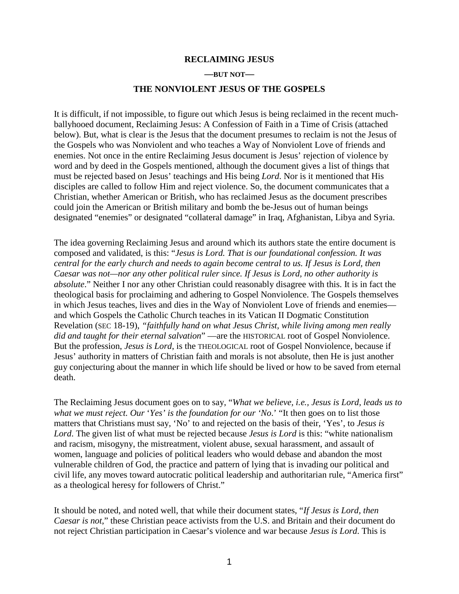## **RECLAIMING JESUS**

## **—BUT NOT—**

## **THE NONVIOLENT JESUS OF THE GOSPELS**

It is difficult, if not impossible, to figure out which Jesus is being reclaimed in the recent muchballyhooed document, Reclaiming Jesus: A Confession of Faith in a Time of Crisis (attached below). But, what is clear is the Jesus that the document presumes to reclaim is not the Jesus of the Gospels who was Nonviolent and who teaches a Way of Nonviolent Love of friends and enemies. Not once in the entire Reclaiming Jesus document is Jesus' rejection of violence by word and by deed in the Gospels mentioned, although the document gives a list of things that must be rejected based on Jesus' teachings and His being *Lord*. Nor is it mentioned that His disciples are called to follow Him and reject violence. So, the document communicates that a Christian, whether American or British, who has reclaimed Jesus as the document prescribes could join the American or British military and bomb the be-Jesus out of human beings designated "enemies" or designated "collateral damage" in Iraq, Afghanistan, Libya and Syria.

The idea governing Reclaiming Jesus and around which its authors state the entire document is composed and validated, is this: "*Jesus is Lord. That is our foundational confession. It was central for the early church and needs to again become central to us. If Jesus is Lord, then Caesar was not—nor any other political ruler since. If Jesus is Lord, no other authority is absolute*." Neither I nor any other Christian could reasonably disagree with this. It is in fact the theological basis for proclaiming and adhering to Gospel Nonviolence. The Gospels themselves in which Jesus teaches, lives and dies in the Way of Nonviolent Love of friends and enemies and which Gospels the Catholic Church teaches in its Vatican II Dogmatic Constitution Revelation (SEC 18-19), *"faithfully hand on what Jesus Christ, while living among men really did and taught for their eternal salvation*" —are the HISTORICAL root of Gospel Nonviolence. But the profession, *Jesus is Lord*, is the THEOLOGICAL root of Gospel Nonviolence, because if Jesus' authority in matters of Christian faith and morals is not absolute, then He is just another guy conjecturing about the manner in which life should be lived or how to be saved from eternal death.

The Reclaiming Jesus document goes on to say, "*What we believe, i.e., Jesus is Lord, leads us to what we must reject. Our* '*Yes' is the foundation for our 'No*.' "It then goes on to list those matters that Christians must say, 'No' to and rejected on the basis of their, 'Yes', to *Jesus is Lord*. The given list of what must be rejected because *Jesus is Lord* is this: "white nationalism and racism, misogyny, the mistreatment, violent abuse, sexual harassment, and assault of women, language and policies of political leaders who would debase and abandon the most vulnerable children of God, the practice and pattern of lying that is invading our political and civil life, any moves toward autocratic political leadership and authoritarian rule, "America first" as a theological heresy for followers of Christ."

It should be noted, and noted well, that while their document states, "*If Jesus is Lord, then Caesar is not*," these Christian peace activists from the U.S. and Britain and their document do not reject Christian participation in Caesar's violence and war because *Jesus is Lord*. This is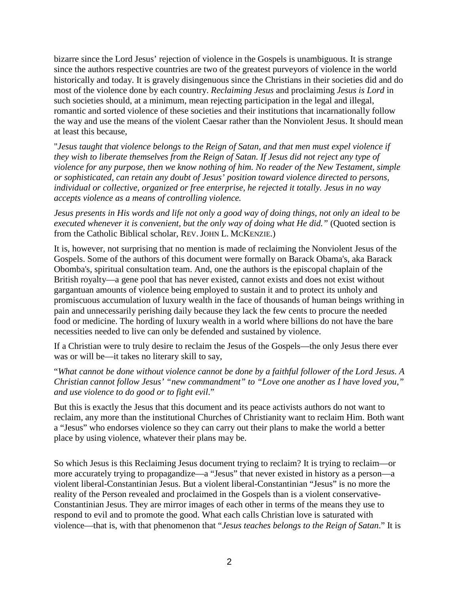bizarre since the Lord Jesus' rejection of violence in the Gospels is unambiguous. It is strange since the authors respective countries are two of the greatest purveyors of violence in the world historically and today. It is gravely disingenuous since the Christians in their societies did and do most of the violence done by each country. *Reclaiming Jesus* and proclaiming *Jesus is Lord* in such societies should, at a minimum, mean rejecting participation in the legal and illegal, romantic and sorted violence of these societies and their institutions that incarnationally follow the way and use the means of the violent Caesar rather than the Nonviolent Jesus. It should mean at least this because,

"*Jesus taught that violence belongs to the Reign of Satan, and that men must expel violence if they wish to liberate themselves from the Reign of Satan. If Jesus did not reject any type of violence for any purpose, then we know nothing of him. No reader of the New Testament, simple or sophisticated, can retain any doubt of Jesus' position toward violence directed to persons, individual or collective, organized or free enterprise, he rejected it totally. Jesus in no way accepts violence as a means of controlling violence.*

Jesus presents in His words and life not only a good way of doing things, not only an ideal to be *executed whenever it is convenient, but the only way of doing what He did."* (Quoted section is from the Catholic Biblical scholar, REV. JOHN L. MCKENZIE.)

It is, however, not surprising that no mention is made of reclaiming the Nonviolent Jesus of the Gospels. Some of the authors of this document were formally on Barack Obama's, aka Barack Obomba's, spiritual consultation team. And, one the authors is the episcopal chaplain of the British royalty—a gene pool that has never existed, cannot exists and does not exist without gargantuan amounts of violence being employed to sustain it and to protect its unholy and promiscuous accumulation of luxury wealth in the face of thousands of human beings writhing in pain and unnecessarily perishing daily because they lack the few cents to procure the needed food or medicine. The hording of luxury wealth in a world where billions do not have the bare necessities needed to live can only be defended and sustained by violence.

If a Christian were to truly desire to reclaim the Jesus of the Gospels—the only Jesus there ever was or will be—it takes no literary skill to say,

"*What cannot be done without violence cannot be done by a faithful follower of the Lord Jesus. A Christian cannot follow Jesus' "new commandment" to "Love one another as I have loved you," and use violence to do good or to fight evil*."

But this is exactly the Jesus that this document and its peace activists authors do not want to reclaim, any more than the institutional Churches of Christianity want to reclaim Him. Both want a "Jesus" who endorses violence so they can carry out their plans to make the world a better place by using violence, whatever their plans may be.

So which Jesus is this Reclaiming Jesus document trying to reclaim? It is trying to reclaim—or more accurately trying to propagandize—a "Jesus" that never existed in history as a person—a violent liberal-Constantinian Jesus. But a violent liberal-Constantinian "Jesus" is no more the reality of the Person revealed and proclaimed in the Gospels than is a violent conservative-Constantinian Jesus. They are mirror images of each other in terms of the means they use to respond to evil and to promote the good. What each calls Christian love is saturated with violence—that is, with that phenomenon that "*Jesus teaches belongs to the Reign of Satan*." It is